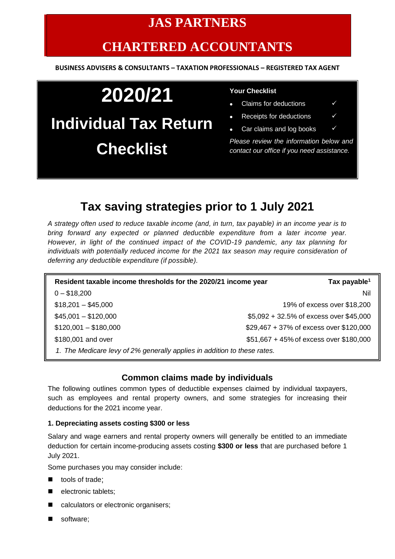# **JAS PARTNERS**

# **CHARTERED ACCOUNTANTS**

#### **BUSINESS ADVISERS & CONSULTANTS – TAXATION PROFESSIONALS – REGISTERED TAX AGENT**

# **2020/21 Individual Tax Return Checklist**

#### **Your Checklist**

- Claims for deductions  $\checkmark$
- Receipts for deductions  $\checkmark$
- Car claims and log books

*Please review the information below and contact our office if you need assistance.*

## **Tax saving strategies prior to 1 July 2021**

*A strategy often used to reduce taxable income (and, in turn, tax payable) in an income year is to bring forward any expected or planned deductible expenditure from a later income year. However, in light of the continued impact of the COVID-19 pandemic, any tax planning for individuals with potentially reduced income for the 2021 tax season may require consideration of deferring any deductible expenditure (if possible).*

| Resident taxable income thresholds for the 2020/21 income year           | Tax payable <sup>1</sup>                |
|--------------------------------------------------------------------------|-----------------------------------------|
| $0 - $18,200$                                                            | Nil                                     |
| $$18,201 - $45,000$                                                      | 19% of excess over \$18,200             |
| $$45,001 - $120,000$                                                     | \$5,092 + 32.5% of excess over \$45,000 |
| $$120,001 - $180,000$                                                    | \$29,467 + 37% of excess over \$120,000 |
| \$180,001 and over                                                       | \$51,667 + 45% of excess over \$180,000 |
| 1. The Medicare levy of 2% generally applies in addition to these rates. |                                         |

### **Common claims made by individuals**

The following outlines common types of deductible expenses claimed by individual taxpayers, such as employees and rental property owners, and some strategies for increasing their deductions for the 2021 income year.

#### **1. Depreciating assets costing \$300 or less**

Salary and wage earners and rental property owners will generally be entitled to an immediate deduction for certain income-producing assets costing **\$300 or less** that are purchased before 1 July 2021.

Some purchases you may consider include:

- tools of trade;
- electronic tablets:
- calculators or electronic organisers;
- software;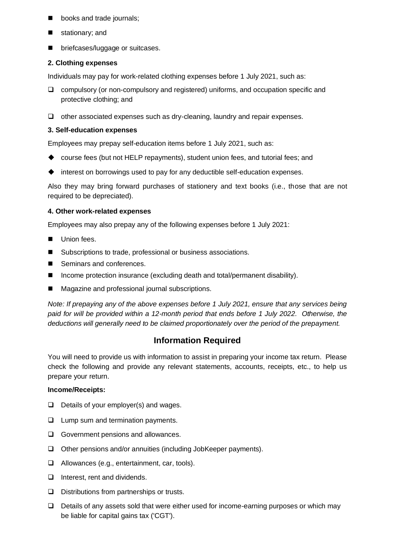- books and trade journals;
- stationary; and
- briefcases/luggage or suitcases.

#### **2. Clothing expenses**

Individuals may pay for work-related clothing expenses before 1 July 2021, such as:

- ❑ compulsory (or non-compulsory and registered) uniforms, and occupation specific and protective clothing; and
- ❑ other associated expenses such as dry-cleaning, laundry and repair expenses.

#### **3. Self-education expenses**

Employees may prepay self-education items before 1 July 2021, such as:

- ◆ course fees (but not HELP repayments), student union fees, and tutorial fees; and
- ◆ interest on borrowings used to pay for any deductible self-education expenses.

Also they may bring forward purchases of stationery and text books (i.e., those that are not required to be depreciated).

#### **4. Other work-related expenses**

Employees may also prepay any of the following expenses before 1 July 2021:

- Union fees
- Subscriptions to trade, professional or business associations.
- Seminars and conferences.
- Income protection insurance (excluding death and total/permanent disability).
- Magazine and professional journal subscriptions.

*Note: If prepaying any of the above expenses before 1 July 2021, ensure that any services being paid for will be provided within a 12-month period that ends before 1 July 2022. Otherwise, the deductions will generally need to be claimed proportionately over the period of the prepayment.*

## **Information Required**

You will need to provide us with information to assist in preparing your income tax return. Please check the following and provide any relevant statements, accounts, receipts, etc., to help us prepare your return.

#### **Income/Receipts:**

- ❑ Details of your employer(s) and wages.
- ❑ Lump sum and termination payments.
- ❑ Government pensions and allowances.
- ❑ Other pensions and/or annuities (including JobKeeper payments).
- ❑ Allowances (e.g., entertainment, car, tools).
- ❑ Interest, rent and dividends.
- ❑ Distributions from partnerships or trusts.
- ❑ Details of any assets sold that were either used for income-earning purposes or which may be liable for capital gains tax ('CGT').